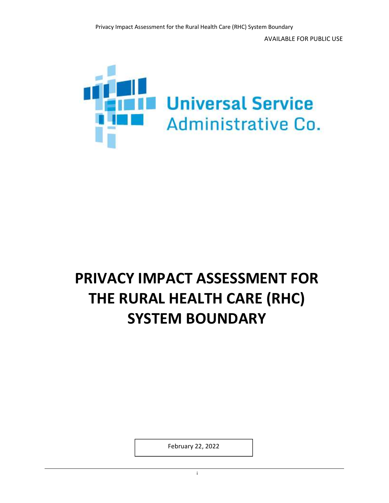

# PRIVACY IMPACT ASSESSMENT FOR THE RURAL HEALTH CARE (RHC) SYSTEM BOUNDARY

February 22, 2022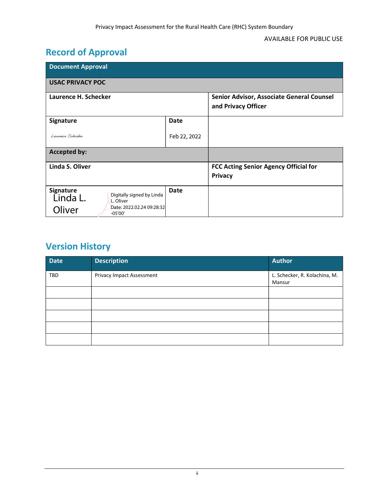## Record of Approval

| <b>Document Approval</b>                                                                                                   |              |                                                                  |  |  |  |  |
|----------------------------------------------------------------------------------------------------------------------------|--------------|------------------------------------------------------------------|--|--|--|--|
| <b>USAC PRIVACY POC</b>                                                                                                    |              |                                                                  |  |  |  |  |
| Laurence H. Schecker                                                                                                       |              | Senior Advisor, Associate General Counsel<br>and Privacy Officer |  |  |  |  |
| <b>Signature</b>                                                                                                           | <b>Date</b>  |                                                                  |  |  |  |  |
| Laurence Schecker                                                                                                          | Feb 22, 2022 |                                                                  |  |  |  |  |
| <b>Accepted by:</b>                                                                                                        |              |                                                                  |  |  |  |  |
| Linda S. Oliver                                                                                                            |              | FCC Acting Senior Agency Official for<br><b>Privacy</b>          |  |  |  |  |
| <b>Signature</b><br>Digitally signed by Linda<br>Linda L.<br>L. Oliver<br>Date: 2022.02.24 09:28:32<br>Oliver<br>$-05'00'$ | Date         |                                                                  |  |  |  |  |

## Version History

| <b>Date</b> | <b>Description</b>        | <b>Author</b>                           |
|-------------|---------------------------|-----------------------------------------|
| <b>TBD</b>  | Privacy Impact Assessment | L. Schecker, R. Kolachina, M.<br>Mansur |
|             |                           |                                         |
|             |                           |                                         |
|             |                           |                                         |
|             |                           |                                         |
|             |                           |                                         |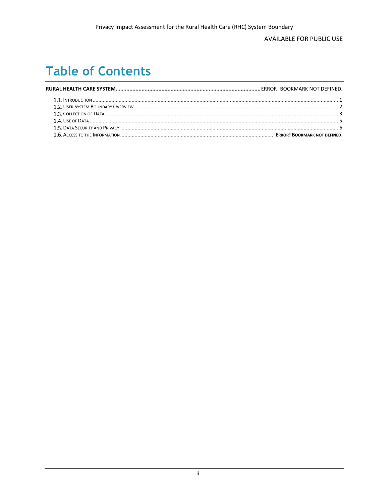#### **AVAILABLE FOR PUBLIC USE**

## **Table of Contents**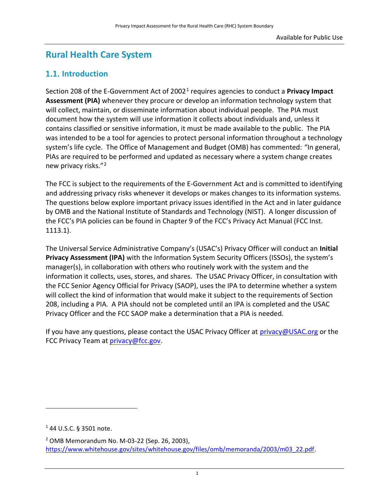## Rural Health Care System

## 1.1. Introduction

Section 208 of the E-Government Act of 2002<sup>1</sup> requires agencies to conduct a **Privacy Impact** Assessment (PIA) whenever they procure or develop an information technology system that will collect, maintain, or disseminate information about individual people. The PIA must document how the system will use information it collects about individuals and, unless it contains classified or sensitive information, it must be made available to the public. The PIA was intended to be a tool for agencies to protect personal information throughout a technology system's life cycle. The Office of Management and Budget (OMB) has commented: "In general, PIAs are required to be performed and updated as necessary where a system change creates new privacy risks."<sup>2</sup>

The FCC is subject to the requirements of the E-Government Act and is committed to identifying and addressing privacy risks whenever it develops or makes changes to its information systems. The questions below explore important privacy issues identified in the Act and in later guidance by OMB and the National Institute of Standards and Technology (NIST). A longer discussion of the FCC's PIA policies can be found in Chapter 9 of the FCC's Privacy Act Manual (FCC Inst. 1113.1).

The Universal Service Administrative Company's (USAC's) Privacy Officer will conduct an Initial Privacy Assessment (IPA) with the Information System Security Officers (ISSOs), the system's manager(s), in collaboration with others who routinely work with the system and the information it collects, uses, stores, and shares. The USAC Privacy Officer, in consultation with the FCC Senior Agency Official for Privacy (SAOP), uses the IPA to determine whether a system will collect the kind of information that would make it subject to the requirements of Section 208, including a PIA. A PIA should not be completed until an IPA is completed and the USAC Privacy Officer and the FCC SAOP make a determination that a PIA is needed.

If you have any questions, please contact the USAC Privacy Officer at privacy@USAC.org or the FCC Privacy Team at privacy@fcc.gov.

1

<sup>1</sup> 44 U.S.C. § 3501 note.

<sup>2</sup> OMB Memorandum No. M-03-22 (Sep. 26, 2003), https://www.whitehouse.gov/sites/whitehouse.gov/files/omb/memoranda/2003/m03\_22.pdf.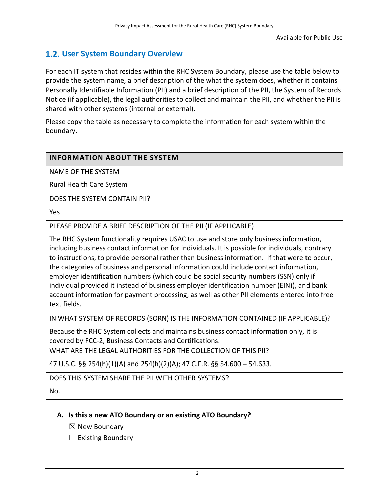## 1.2. User System Boundary Overview

For each IT system that resides within the RHC System Boundary, please use the table below to provide the system name, a brief description of the what the system does, whether it contains Personally Identifiable Information (PII) and a brief description of the PII, the System of Records Notice (if applicable), the legal authorities to collect and maintain the PII, and whether the PII is shared with other systems (internal or external).

Please copy the table as necessary to complete the information for each system within the boundary.

#### INFORMATION ABOUT THE SYSTEM

NAME OF THE SYSTEM

Rural Health Care System

DOES THE SYSTEM CONTAIN PII?

Yes

PLEASE PROVIDE A BRIEF DESCRIPTION OF THE PII (IF APPLICABLE)

The RHC System functionality requires USAC to use and store only business information, including business contact information for individuals. It is possible for individuals, contrary to instructions, to provide personal rather than business information. If that were to occur, the categories of business and personal information could include contact information, employer identification numbers (which could be social security numbers (SSN) only if individual provided it instead of business employer identification number (EIN)), and bank account information for payment processing, as well as other PII elements entered into free text fields.

IN WHAT SYSTEM OF RECORDS (SORN) IS THE INFORMATION CONTAINED (IF APPLICABLE)?

Because the RHC System collects and maintains business contact information only, it is covered by FCC-2, Business Contacts and Certifications.

WHAT ARE THE LEGAL AUTHORITIES FOR THE COLLECTION OF THIS PII?

47 U.S.C. §§ 254(h)(1)(A) and 254(h)(2)(A); 47 C.F.R. §§ 54.600 – 54.633.

DOES THIS SYSTEM SHARE THE PII WITH OTHER SYSTEMS?

No.

#### A. Is this a new ATO Boundary or an existing ATO Boundary?

 $\boxtimes$  New Boundary

 $\Box$  Existing Boundary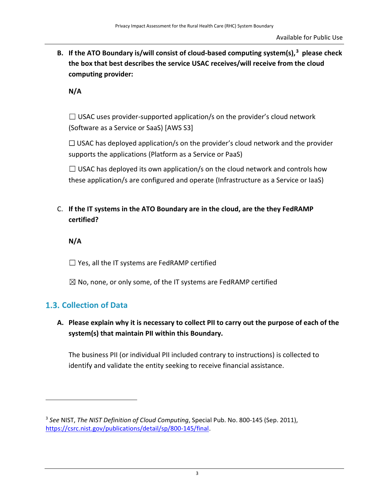B. If the ATO Boundary is/will consist of cloud-based computing system(s), $3$  please check the box that best describes the service USAC receives/will receive from the cloud computing provider:

N/A

 $\Box$  USAC uses provider-supported application/s on the provider's cloud network (Software as a Service or SaaS) [AWS S3]

 $\Box$  USAC has deployed application/s on the provider's cloud network and the provider supports the applications (Platform as a Service or PaaS)

 $\Box$  USAC has deployed its own application/s on the cloud network and controls how these application/s are configured and operate (Infrastructure as a Service or IaaS)

C. If the IT systems in the ATO Boundary are in the cloud, are the they FedRAMP certified?

N/A

 $\Box$  Yes, all the IT systems are FedRAMP certified

 $\boxtimes$  No, none, or only some, of the IT systems are FedRAMP certified

## 1.3. Collection of Data

#### A. Please explain why it is necessary to collect PII to carry out the purpose of each of the system(s) that maintain PII within this Boundary.

The business PII (or individual PII included contrary to instructions) is collected to identify and validate the entity seeking to receive financial assistance.

<sup>&</sup>lt;sup>3</sup> See NIST, The NIST Definition of Cloud Computing, Special Pub. No. 800-145 (Sep. 2011), https://csrc.nist.gov/publications/detail/sp/800-145/final.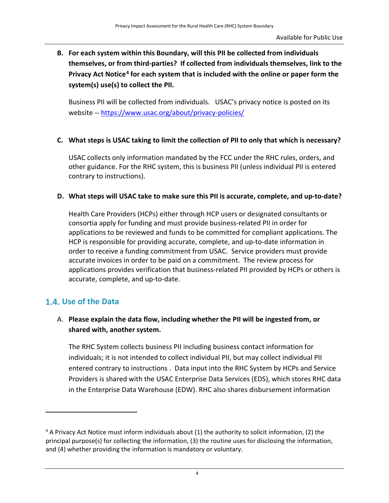B. For each system within this Boundary, will this PII be collected from individuals themselves, or from third-parties? If collected from individuals themselves, link to the Privacy Act Notice<sup>4</sup> for each system that is included with the online or paper form the system(s) use(s) to collect the PII.

Business PII will be collected from individuals. USAC's privacy notice is posted on its website -- https://www.usac.org/about/privacy-policies/

#### C. What steps is USAC taking to limit the collection of PII to only that which is necessary?

USAC collects only information mandated by the FCC under the RHC rules, orders, and other guidance. For the RHC system, this is business PII (unless individual PII is entered contrary to instructions).

#### D. What steps will USAC take to make sure this PII is accurate, complete, and up-to-date?

Health Care Providers (HCPs) either through HCP users or designated consultants or consortia apply for funding and must provide business-related PII in order for applications to be reviewed and funds to be committed for compliant applications. The HCP is responsible for providing accurate, complete, and up-to-date information in order to receive a funding commitment from USAC. Service providers must provide accurate invoices in order to be paid on a commitment. The review process for applications provides verification that business-related PII provided by HCPs or others is accurate, complete, and up-to-date.

## 1.4. Use of the Data

1

### A. Please explain the data flow, including whether the PII will be ingested from, or shared with, another system.

The RHC System collects business PII including business contact information for individuals; it is not intended to collect individual PII, but may collect individual PII entered contrary to instructions . Data input into the RHC System by HCPs and Service Providers is shared with the USAC Enterprise Data Services (EDS), which stores RHC data in the Enterprise Data Warehouse (EDW). RHC also shares disbursement information

<sup>&</sup>lt;sup>4</sup> A Privacy Act Notice must inform individuals about (1) the authority to solicit information, (2) the principal purpose(s) for collecting the information, (3) the routine uses for disclosing the information, and (4) whether providing the information is mandatory or voluntary.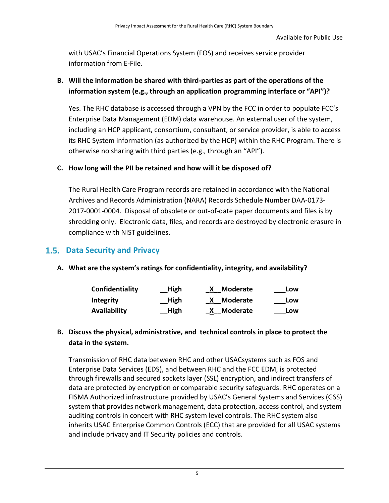with USAC's Financial Operations System (FOS) and receives service provider information from E-File.

### B. Will the information be shared with third-parties as part of the operations of the information system (e.g., through an application programming interface or "API")?

Yes. The RHC database is accessed through a VPN by the FCC in order to populate FCC's Enterprise Data Management (EDM) data warehouse. An external user of the system, including an HCP applicant, consortium, consultant, or service provider, is able to access its RHC System information (as authorized by the HCP) within the RHC Program. There is otherwise no sharing with third parties (e.g., through an "API").

#### C. How long will the PII be retained and how will it be disposed of?

The Rural Health Care Program records are retained in accordance with the National Archives and Records Administration (NARA) Records Schedule Number DAA-0173- 2017-0001-0004. Disposal of obsolete or out-of-date paper documents and files is by shredding only. Electronic data, files, and records are destroyed by electronic erasure in compliance with NIST guidelines.

## 1.5. Data Security and Privacy

#### A. What are the system's ratings for confidentiality, integrity, and availability?

| Confidentiality     | High | <b>Moderate</b> | Low |
|---------------------|------|-----------------|-----|
| <b>Integrity</b>    | High | <b>Moderate</b> | Low |
| <b>Availability</b> | High | <b>Moderate</b> | Low |

#### B. Discuss the physical, administrative, and technical controls in place to protect the data in the system.

Transmission of RHC data between RHC and other USACsystems such as FOS and Enterprise Data Services (EDS), and between RHC and the FCC EDM, is protected through firewalls and secured sockets layer (SSL) encryption, and indirect transfers of data are protected by encryption or comparable security safeguards. RHC operates on a FISMA Authorized infrastructure provided by USAC's General Systems and Services (GSS) system that provides network management, data protection, access control, and system auditing controls in concert with RHC system level controls. The RHC system also inherits USAC Enterprise Common Controls (ECC) that are provided for all USAC systems and include privacy and IT Security policies and controls.